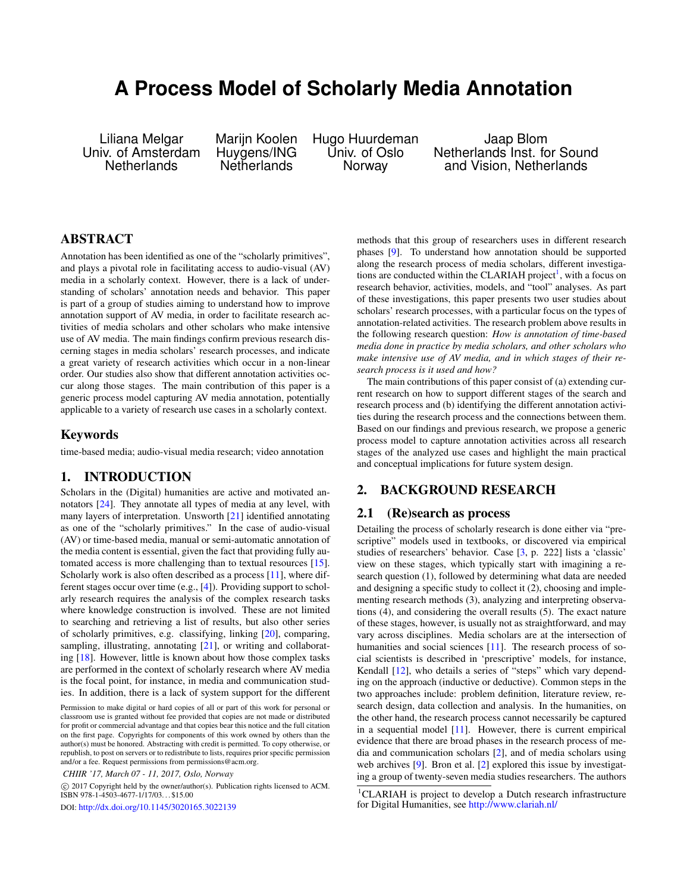# **A Process Model of Scholarly Media Annotation**

Liliana Melgar Marijn Koolen Hugo Huurdeman Jaap Blom

v. of Amsterdam Huygens/ING Univ. of Oslo Netherlands Inst. for Sound<br>Netherlands Netherlands Norway and Vision, Netherlands and Vision, Netherlands

## ABSTRACT

Annotation has been identified as one of the "scholarly primitives", and plays a pivotal role in facilitating access to audio-visual (AV) media in a scholarly context. However, there is a lack of understanding of scholars' annotation needs and behavior. This paper is part of a group of studies aiming to understand how to improve annotation support of AV media, in order to facilitate research activities of media scholars and other scholars who make intensive use of AV media. The main findings confirm previous research discerning stages in media scholars' research processes, and indicate a great variety of research activities which occur in a non-linear order. Our studies also show that different annotation activities occur along those stages. The main contribution of this paper is a generic process model capturing AV media annotation, potentially applicable to a variety of research use cases in a scholarly context.

### Keywords

time-based media; audio-visual media research; video annotation

## 1. INTRODUCTION

Scholars in the (Digital) humanities are active and motivated annotators [\[24\]](#page-3-0). They annotate all types of media at any level, with many layers of interpretation. Unsworth [\[21\]](#page-3-1) identified annotating as one of the "scholarly primitives." In the case of audio-visual (AV) or time-based media, manual or semi-automatic annotation of the media content is essential, given the fact that providing fully automated access is more challenging than to textual resources [\[15\]](#page-3-2). Scholarly work is also often described as a process [\[11\]](#page-3-3), where different stages occur over time (e.g., [\[4\]](#page-3-4)). Providing support to scholarly research requires the analysis of the complex research tasks where knowledge construction is involved. These are not limited to searching and retrieving a list of results, but also other series of scholarly primitives, e.g. classifying, linking [\[20\]](#page-3-5), comparing, sampling, illustrating, annotating [\[21\]](#page-3-1), or writing and collaborating [\[18\]](#page-3-6). However, little is known about how those complex tasks are performed in the context of scholarly research where AV media is the focal point, for instance, in media and communication studies. In addition, there is a lack of system support for the different

 c 2017 Copyright held by the owner/author(s). Publication rights licensed to ACM. ISBN 978-1-4503-4677-1/17/03. . . \$15.00

DOI: <http://dx.doi.org/10.1145/3020165.3022139>

methods that this group of researchers uses in different research phases [\[9\]](#page-3-7). To understand how annotation should be supported along the research process of media scholars, different investiga-tions are conducted within the CLARIAH project<sup>[1](#page-0-0)</sup>, with a focus on research behavior, activities, models, and "tool" analyses. As part of these investigations, this paper presents two user studies about scholars' research processes, with a particular focus on the types of annotation-related activities. The research problem above results in the following research question: *How is annotation of time-based media done in practice by media scholars, and other scholars who make intensive use of AV media, and in which stages of their research process is it used and how?*

The main contributions of this paper consist of (a) extending current research on how to support different stages of the search and research process and (b) identifying the different annotation activities during the research process and the connections between them. Based on our findings and previous research, we propose a generic process model to capture annotation activities across all research stages of the analyzed use cases and highlight the main practical and conceptual implications for future system design.

## 2. BACKGROUND RESEARCH

#### 2.1 (Re)search as process

Detailing the process of scholarly research is done either via "prescriptive" models used in textbooks, or discovered via empirical studies of researchers' behavior. Case [\[3,](#page-3-8) p. 222] lists a 'classic' view on these stages, which typically start with imagining a research question (1), followed by determining what data are needed and designing a specific study to collect it (2), choosing and implementing research methods (3), analyzing and interpreting observations (4), and considering the overall results (5). The exact nature of these stages, however, is usually not as straightforward, and may vary across disciplines. Media scholars are at the intersection of humanities and social sciences [\[11\]](#page-3-3). The research process of social scientists is described in 'prescriptive' models, for instance, Kendall [\[12\]](#page-3-9), who details a series of "steps" which vary depending on the approach (inductive or deductive). Common steps in the two approaches include: problem definition, literature review, research design, data collection and analysis. In the humanities, on the other hand, the research process cannot necessarily be captured in a sequential model [\[11\]](#page-3-3). However, there is current empirical evidence that there are broad phases in the research process of media and communication scholars [\[2\]](#page-3-10), and of media scholars using web archives [\[9\]](#page-3-7). Bron et al. [\[2\]](#page-3-10) explored this issue by investigating a group of twenty-seven media studies researchers. The authors

Permission to make digital or hard copies of all or part of this work for personal or classroom use is granted without fee provided that copies are not made or distributed for profit or commercial advantage and that copies bear this notice and the full citation on the first page. Copyrights for components of this work owned by others than the author(s) must be honored. Abstracting with credit is permitted. To copy otherwise, or republish, to post on servers or to redistribute to lists, requires prior specific permission and/or a fee. Request permissions from permissions@acm.org.

*CHIIR '17, March 07 - 11, 2017, Oslo, Norway*

<span id="page-0-0"></span><sup>&</sup>lt;sup>1</sup>CLARIAH is project to develop a Dutch research infrastructure for Digital Humanities, see <http://www.clariah.nl/>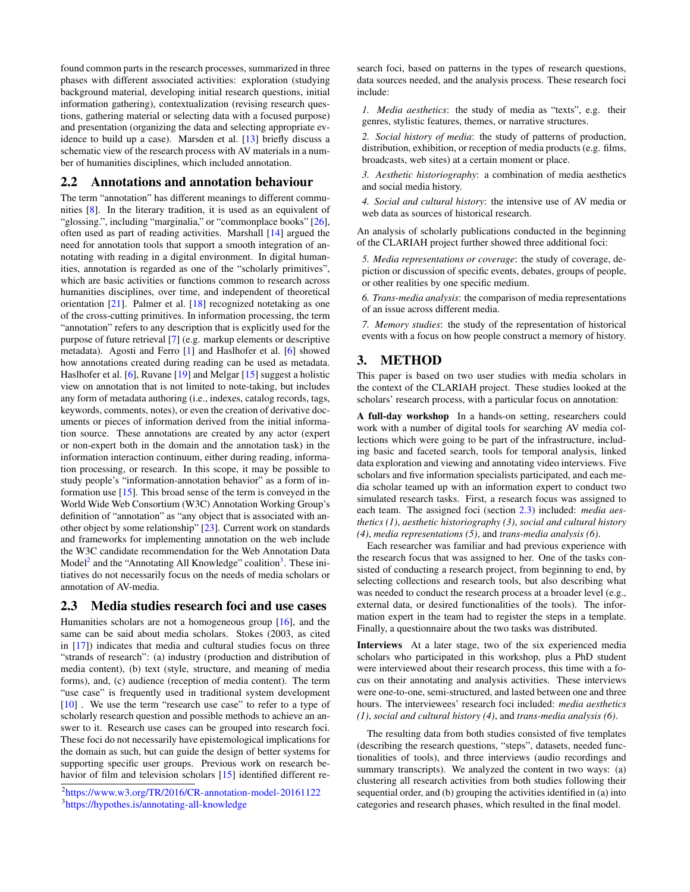found common parts in the research processes, summarized in three phases with different associated activities: exploration (studying background material, developing initial research questions, initial information gathering), contextualization (revising research questions, gathering material or selecting data with a focused purpose) and presentation (organizing the data and selecting appropriate evidence to build up a case). Marsden et al. [\[13\]](#page-3-11) briefly discuss a schematic view of the research process with AV materials in a number of humanities disciplines, which included annotation.

#### 2.2 Annotations and annotation behaviour

The term "annotation" has different meanings to different communities [\[8\]](#page-3-12). In the literary tradition, it is used as an equivalent of "glossing.", including "marginalia," or "commonplace books" [\[26\]](#page-3-13), often used as part of reading activities. Marshall [\[14\]](#page-3-14) argued the need for annotation tools that support a smooth integration of annotating with reading in a digital environment. In digital humanities, annotation is regarded as one of the "scholarly primitives", which are basic activities or functions common to research across humanities disciplines, over time, and independent of theoretical orientation [\[21\]](#page-3-1). Palmer et al. [\[18\]](#page-3-6) recognized notetaking as one of the cross-cutting primitives. In information processing, the term "annotation" refers to any description that is explicitly used for the purpose of future retrieval [\[7\]](#page-3-15) (e.g. markup elements or descriptive metadata). Agosti and Ferro [\[1\]](#page-3-16) and Haslhofer et al. [\[6\]](#page-3-17) showed how annotations created during reading can be used as metadata. Haslhofer et al. [\[6\]](#page-3-17), Ruvane [\[19\]](#page-3-18) and Melgar [\[15\]](#page-3-2) suggest a holistic view on annotation that is not limited to note-taking, but includes any form of metadata authoring (i.e., indexes, catalog records, tags, keywords, comments, notes), or even the creation of derivative documents or pieces of information derived from the initial information source. These annotations are created by any actor (expert or non-expert both in the domain and the annotation task) in the information interaction continuum, either during reading, information processing, or research. In this scope, it may be possible to study people's "information-annotation behavior" as a form of information use  $[15]$ . This broad sense of the term is conveyed in the World Wide Web Consortium (W3C) Annotation Working Group's definition of "annotation" as "any object that is associated with another object by some relationship" [\[23\]](#page-3-19). Current work on standards and frameworks for implementing annotation on the web include the W3C candidate recommendation for the Web Annotation Data Model<sup>[2](#page-1-0)</sup> and the "Annotating All Knowledge" coalition<sup>[3](#page-1-1)</sup>. These initiatives do not necessarily focus on the needs of media scholars or annotation of AV-media.

#### <span id="page-1-2"></span>2.3 Media studies research foci and use cases

Humanities scholars are not a homogeneous group [\[16\]](#page-3-20), and the same can be said about media scholars. Stokes (2003, as cited in [\[17\]](#page-3-21)) indicates that media and cultural studies focus on three "strands of research": (a) industry (production and distribution of media content), (b) text (style, structure, and meaning of media forms), and, (c) audience (reception of media content). The term "use case" is frequently used in traditional system development [\[10\]](#page-3-22). We use the term "research use case" to refer to a type of scholarly research question and possible methods to achieve an answer to it. Research use cases can be grouped into research foci. These foci do not necessarily have epistemological implications for the domain as such, but can guide the design of better systems for supporting specific user groups. Previous work on research be-havior of film and television scholars [\[15\]](#page-3-2) identified different research foci, based on patterns in the types of research questions, data sources needed, and the analysis process. These research foci include:

*1. Media aesthetics*: the study of media as "texts", e.g. their genres, stylistic features, themes, or narrative structures.

*2. Social history of media*: the study of patterns of production, distribution, exhibition, or reception of media products (e.g. films, broadcasts, web sites) at a certain moment or place.

*3. Aesthetic historiography*: a combination of media aesthetics and social media history.

*4. Social and cultural history*: the intensive use of AV media or web data as sources of historical research.

An analysis of scholarly publications conducted in the beginning of the CLARIAH project further showed three additional foci:

*5. Media representations or coverage*: the study of coverage, depiction or discussion of specific events, debates, groups of people, or other realities by one specific medium.

*6. Trans-media analysis*: the comparison of media representations of an issue across different media.

*7. Memory studies*: the study of the representation of historical events with a focus on how people construct a memory of history.

# 3. METHOD

This paper is based on two user studies with media scholars in the context of the CLARIAH project. These studies looked at the scholars' research process, with a particular focus on annotation:

A full-day workshop In a hands-on setting, researchers could work with a number of digital tools for searching AV media collections which were going to be part of the infrastructure, including basic and faceted search, tools for temporal analysis, linked data exploration and viewing and annotating video interviews. Five scholars and five information specialists participated, and each media scholar teamed up with an information expert to conduct two simulated research tasks. First, a research focus was assigned to each team. The assigned foci (section [2.3\)](#page-1-2) included: *media aesthetics (1)*, *aesthetic historiography (3)*, *social and cultural history (4)*, *media representations (5)*, and *trans-media analysis (6)*.

Each researcher was familiar and had previous experience with the research focus that was assigned to her. One of the tasks consisted of conducting a research project, from beginning to end, by selecting collections and research tools, but also describing what was needed to conduct the research process at a broader level (e.g., external data, or desired functionalities of the tools). The information expert in the team had to register the steps in a template. Finally, a questionnaire about the two tasks was distributed.

Interviews At a later stage, two of the six experienced media scholars who participated in this workshop, plus a PhD student were interviewed about their research process, this time with a focus on their annotating and analysis activities. These interviews were one-to-one, semi-structured, and lasted between one and three hours. The interviewees' research foci included: *media aesthetics (1)*, *social and cultural history (4)*, and *trans-media analysis (6)*.

The resulting data from both studies consisted of five templates (describing the research questions, "steps", datasets, needed functionalities of tools), and three interviews (audio recordings and summary transcripts). We analyzed the content in two ways: (a) clustering all research activities from both studies following their sequential order, and (b) grouping the activities identified in (a) into categories and research phases, which resulted in the final model.

<span id="page-1-0"></span><sup>2</sup> <https://www.w3.org/TR/2016/CR-annotation-model-20161122>

<span id="page-1-1"></span><sup>3</sup> <https://hypothes.is/annotating-all-knowledge>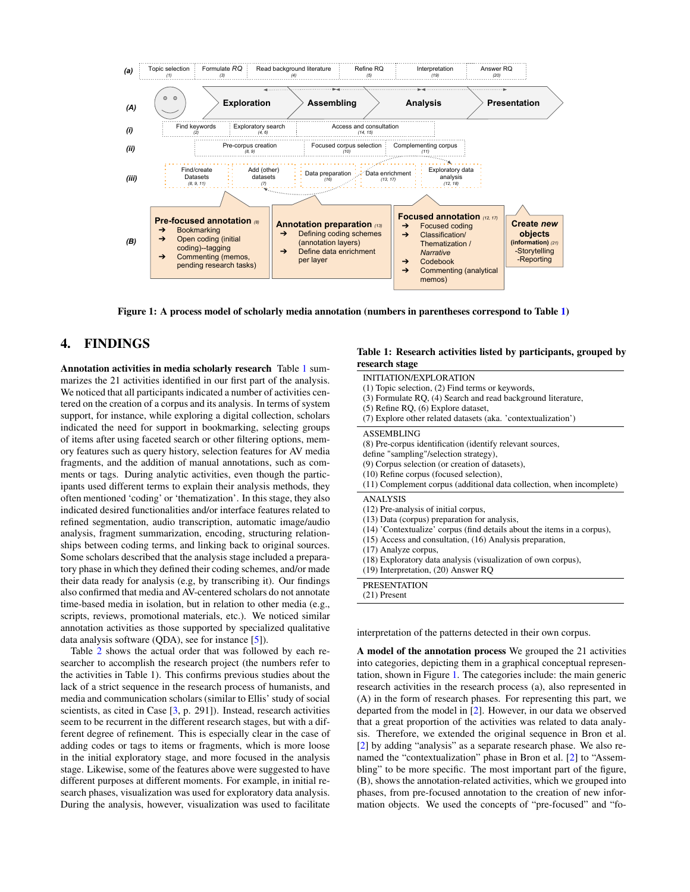

<span id="page-2-1"></span>Figure 1: A process model of scholarly media annotation (numbers in parentheses correspond to Table [1\)](#page-2-0)

# 4. FINDINGS

Annotation activities in media scholarly research Table [1](#page-2-0) summarizes the 21 activities identified in our first part of the analysis. We noticed that all participants indicated a number of activities centered on the creation of a corpus and its analysis. In terms of system support, for instance, while exploring a digital collection, scholars indicated the need for support in bookmarking, selecting groups of items after using faceted search or other filtering options, memory features such as query history, selection features for AV media fragments, and the addition of manual annotations, such as comments or tags. During analytic activities, even though the participants used different terms to explain their analysis methods, they often mentioned 'coding' or 'thematization'. In this stage, they also indicated desired functionalities and/or interface features related to refined segmentation, audio transcription, automatic image/audio analysis, fragment summarization, encoding, structuring relationships between coding terms, and linking back to original sources. Some scholars described that the analysis stage included a preparatory phase in which they defined their coding schemes, and/or made their data ready for analysis (e.g, by transcribing it). Our findings also confirmed that media and AV-centered scholars do not annotate time-based media in isolation, but in relation to other media (e.g., scripts, reviews, promotional materials, etc.). We noticed similar annotation activities as those supported by specialized qualitative data analysis software (QDA), see for instance [\[5\]](#page-3-23)).

Table [2](#page-3-24) shows the actual order that was followed by each researcher to accomplish the research project (the numbers refer to the activities in Table 1). This confirms previous studies about the lack of a strict sequence in the research process of humanists, and media and communication scholars (similar to Ellis' study of social scientists, as cited in Case [\[3,](#page-3-8) p. 291]). Instead, research activities seem to be recurrent in the different research stages, but with a different degree of refinement. This is especially clear in the case of adding codes or tags to items or fragments, which is more loose in the initial exploratory stage, and more focused in the analysis stage. Likewise, some of the features above were suggested to have different purposes at different moments. For example, in initial research phases, visualization was used for exploratory data analysis. During the analysis, however, visualization was used to facilitate

#### <span id="page-2-0"></span>Table 1: Research activities listed by participants, grouped by research stage

| INITIATION/EXPLORATION<br>$(1)$ Topic selection, $(2)$ Find terms or keywords,<br>(3) Formulate RQ, (4) Search and read background literature,<br>$(5)$ Refine RQ, $(6)$ Explore dataset,<br>(7) Explore other related datasets (aka. 'contextualization')                                                                                                                             |
|----------------------------------------------------------------------------------------------------------------------------------------------------------------------------------------------------------------------------------------------------------------------------------------------------------------------------------------------------------------------------------------|
| <b>ASSEMBLING</b><br>(8) Pre-corpus identification (identify relevant sources,<br>define "sampling"/selection strategy),<br>(9) Corpus selection (or creation of datasets),<br>(10) Refine corpus (focused selection),<br>(11) Complement corpus (additional data collection, when incomplete)                                                                                         |
| <b>ANALYSIS</b><br>(12) Pre-analysis of initial corpus,<br>(13) Data (corpus) preparation for analysis,<br>(14) 'Contextualize' corpus (find details about the items in a corpus),<br>$(15)$ Access and consultation, $(16)$ Analysis preparation,<br>(17) Analyze corpus,<br>(18) Exploratory data analysis (visualization of own corpus),<br>$(19)$ Interpretation, $(20)$ Answer RQ |
| <b>PRESENTATION</b><br>$(21)$ Present                                                                                                                                                                                                                                                                                                                                                  |

interpretation of the patterns detected in their own corpus.

A model of the annotation process We grouped the 21 activities into categories, depicting them in a graphical conceptual representation, shown in Figure [1.](#page-2-1) The categories include: the main generic research activities in the research process (a), also represented in (A) in the form of research phases. For representing this part, we departed from the model in [\[2\]](#page-3-10). However, in our data we observed that a great proportion of the activities was related to data analysis. Therefore, we extended the original sequence in Bron et al. [\[2\]](#page-3-10) by adding "analysis" as a separate research phase. We also renamed the "contextualization" phase in Bron et al. [\[2\]](#page-3-10) to "Assembling" to be more specific. The most important part of the figure, (B), shows the annotation-related activities, which we grouped into phases, from pre-focused annotation to the creation of new information objects. We used the concepts of "pre-focused" and "fo-